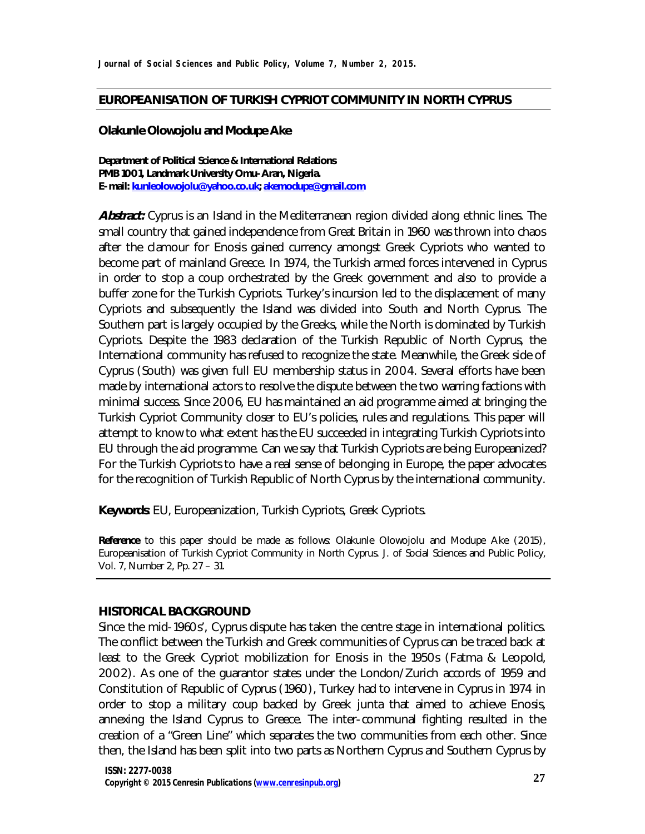### **EUROPEANISATION OF TURKISH CYPRIOT COMMUNITY IN NORTH CYPRUS**

#### **Olakunle Olowojolu and Modupe Ake**

**Department of Political Science & International Relations PMB 1001, Landmark University Omu-Aran, Nigeria. E-mail: kunleolowojolu@yahoo.co.uk; akemodupe@gmail.com**

*Abstract: Cyprus is an Island in the Mediterranean region divided along ethnic lines. The small country that gained independence from Great Britain in 1960 was thrown into chaos after the clamour for Enosis gained currency amongst Greek Cypriots who wanted to become part of mainland Greece. In 1974, the Turkish armed forces intervened in Cyprus in order to stop a coup orchestrated by the Greek government and also to provide a buffer zone for the Turkish Cypriots. Turkey's incursion led to the displacement of many Cypriots and subsequently the Island was divided into South and North Cyprus. The Southern part is largely occupied by the Greeks, while the North is dominated by Turkish Cypriots. Despite the 1983 declaration of the Turkish Republic of North Cyprus, the International community has refused to recognize the state. Meanwhile, the Greek side of Cyprus (South) was given full EU membership status in 2004. Several efforts have been made by international actors to resolve the dispute between the two warring factions with minimal success. Since 2006, EU has maintained an aid programme aimed at bringing the Turkish Cypriot Community closer to EU's policies, rules and regulations. This paper will attempt to know to what extent has the EU succeeded in integrating Turkish Cypriots into EU through the aid programme. Can we say that Turkish Cypriots are being Europeanized? For the Turkish Cypriots to have a real sense of belonging in Europe, the paper advocates for the recognition of Turkish Republic of North Cyprus by the international community.*

**Keywords**: EU, Europeanization, Turkish Cypriots, Greek Cypriots.

**Reference** to this paper should be made as follows: Olakunle Olowojolu and Modupe Ake (2015), Europeanisation of Turkish Cypriot Community in North Cyprus. *J. of Social Sciences and Public Policy,* Vol. 7, Number 2, Pp. 27 – 31.

#### **HISTORICAL BACKGROUND**

Since the mid-1960s', Cyprus dispute has taken the centre stage in international politics. The conflict between the Turkish and Greek communities of Cyprus can be traced back at least to the Greek Cypriot mobilization for *Enosis* in the 1950s (Fatma & Leopold, 2002). As one of the guarantor states under the London/Zurich accords of 1959 and Constitution of Republic of Cyprus (1960), Turkey had to intervene in Cyprus in 1974 in order to stop a military coup backed by Greek junta that aimed to achieve Enosis, annexing the Island Cyprus to Greece. The inter-communal fighting resulted in the creation of a "Green Line" which separates the two communities from each other. Since then, the Island has been split into two parts as Northern Cyprus and Southern Cyprus by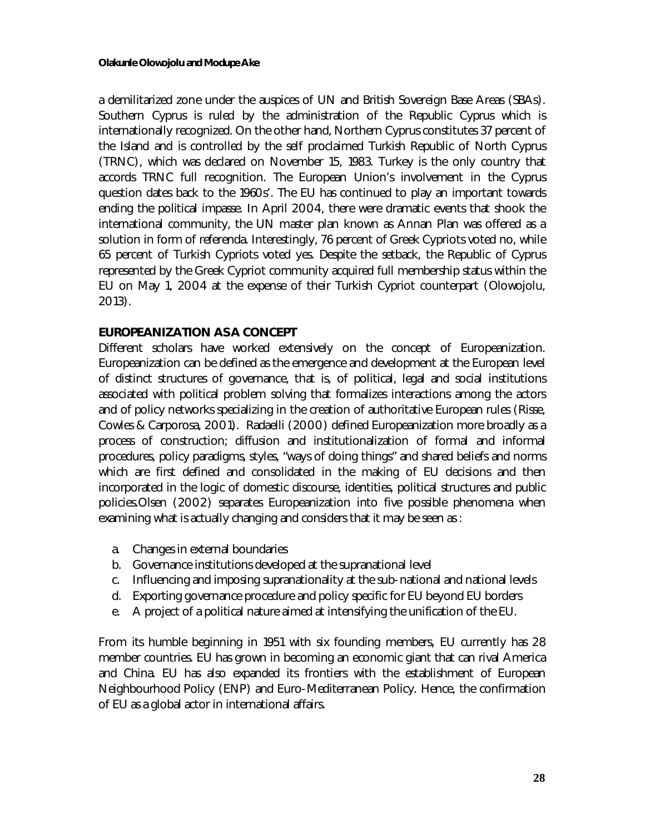a demilitarized zone under the auspices of UN and British Sovereign Base Areas (SBAs). Southern Cyprus is ruled by the administration of the Republic Cyprus which is internationally recognized. On the other hand, Northern Cyprus constitutes 37 percent of the Island and is controlled by the self proclaimed Turkish Republic of North Cyprus (TRNC), which was declared on November 15, 1983. Turkey is the only country that accords TRNC full recognition. The European Union's involvement in the Cyprus question dates back to the 1960s'. The EU has continued to play an important towards ending the political impasse. In April 2004, there were dramatic events that shook the international community, the UN master plan known as Annan Plan was offered as a solution in form of referenda. Interestingly, 76 percent of Greek Cypriots voted no, while 65 percent of Turkish Cypriots voted yes. Despite the setback, the Republic of Cyprus represented by the Greek Cypriot community acquired full membership status within the EU on May 1, 2004 at the expense of their Turkish Cypriot counterpart (Olowojolu, 2013).

# **EUROPEANIZATION AS A CONCEPT**

Different scholars have worked extensively on the concept of Europeanization. Europeanization can be defined as the emergence and development at the European level of distinct structures of governance, that is, of political, legal and social institutions associated with political problem solving that formalizes interactions among the actors and of policy networks specializing in the creation of authoritative European rules (Risse, Cowles & Carporosa, 2001). Radaelli (2000) defined Europeanization more broadly as a process of construction; diffusion and institutionalization of formal and informal procedures, policy paradigms, styles, "ways of doing things" and shared beliefs and norms which are first defined and consolidated in the making of EU decisions and then incorporated in the logic of domestic discourse, identities, political structures and public policies.Olsen (2002) separates Europeanization into five possible phenomena when examining what is actually changing and considers that it may be seen as :

- a. Changes in external boundaries
- b. Governance institutions developed at the supranational level
- c. Influencing and imposing supranationality at the sub-national and national levels
- d. Exporting governance procedure and policy specific for EU beyond EU borders
- e. A project of a political nature aimed at intensifying the unification of the EU.

From its humble beginning in 1951 with six founding members, EU currently has 28 member countries. EU has grown in becoming an economic giant that can rival America and China. EU has also expanded its frontiers with the establishment of European Neighbourhood Policy (ENP) and Euro-Mediterranean Policy. Hence, the confirmation of EU as a global actor in international affairs.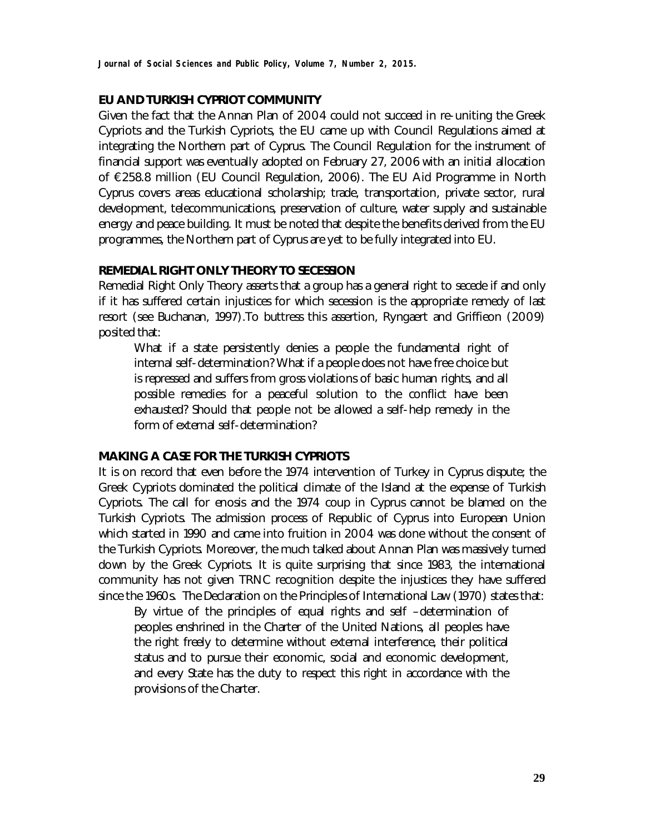## **EU AND TURKISH CYPRIOT COMMUNITY**

Given the fact that the Annan Plan of 2004 could not succeed in re-uniting the Greek Cypriots and the Turkish Cypriots, the EU came up with Council Regulations aimed at integrating the Northern part of Cyprus. The Council Regulation for the instrument of financial support was eventually adopted on February 27, 2006 with an initial allocation of €258.8 million (EU Council Regulation, 2006). The EU Aid Programme in North Cyprus covers areas educational scholarship; trade, transportation, private sector, rural development, telecommunications, preservation of culture, water supply and sustainable energy and peace building. It must be noted that despite the benefits derived from the EU programmes, the Northern part of Cyprus are yet to be fully integrated into EU.

### **REMEDIAL RIGHT ONLY THEORY TO SECESSION**

Remedial Right Only Theory asserts that a group has a general right to secede if and only if it has suffered certain injustices for which secession is the appropriate remedy of last resort (see Buchanan, 1997).To buttress this assertion, Ryngaert and Griffieon (2009) posited that:

*What if a state persistently denies a people the fundamental right of internal self-determination? What if a people does not have free choice but is repressed and suffers from gross violations of basic human rights, and all possible remedies for a peaceful solution to the conflict have been exhausted? Should that people not be allowed a self-help remedy in the form of external self-determination?*

### **MAKING A CASE FOR THE TURKISH CYPRIOTS**

It is on record that even before the 1974 intervention of Turkey in Cyprus dispute; the Greek Cypriots dominated the political climate of the Island at the expense of Turkish Cypriots. The call for *enosis* and the 1974 coup in Cyprus cannot be blamed on the Turkish Cypriots. The admission process of Republic of Cyprus into European Union which started in 1990 and came into fruition in 2004 was done without the consent of the Turkish Cypriots. Moreover, the much talked about Annan Plan was massively turned down by the Greek Cypriots. It is quite surprising that since 1983, the international community has not given TRNC recognition despite the injustices they have suffered since the 1960s. The Declaration on the Principles of International Law (1970) states that:

*By virtue of the principles of equal rights and self –determination of peoples enshrined in the Charter of the United Nations, all peoples have the right freely to determine without external interference, their political status and to pursue their economic, social and economic development, and every State has the duty to respect this right in accordance with the provisions of the Charter.*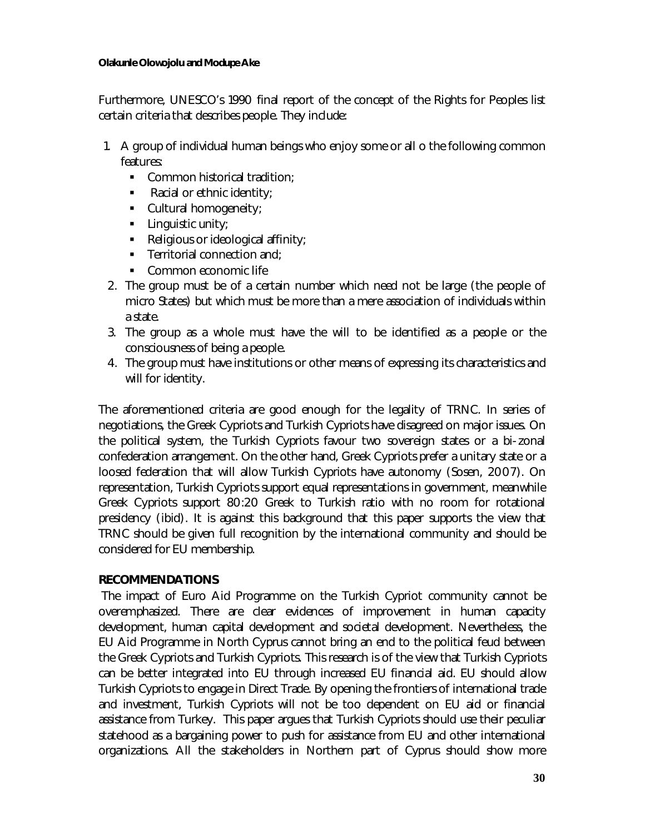### **Olakunle Olowojolu and Modupe Ake**

Furthermore, UNESCO's 1990 final report of the concept of the Rights for Peoples list certain criteria that describes people. They include:

- 1. A group of individual human beings who enjoy some or all o the following common features:
	- Common historical tradition:
	- Racial or ethnic identity;
	- **Cultural homogeneity;**
	- $\blacksquare$  Linguistic unity;
	- Religious or ideological affinity;
	- $\blacksquare$  Territorial connection and;
	- Common economic life
- 2. The group must be of a certain number which need not be large (the people of micro States) but which must be more than a mere association of individuals within a state.
- 3. The group as a whole must have the will to be identified as a people or the consciousness of being a people.
- 4. The group must have institutions or other means of expressing its characteristics and will for identity.

The aforementioned criteria are good enough for the legality of TRNC. In series of negotiations, the Greek Cypriots and Turkish Cypriots have disagreed on major issues. On the political system, the Turkish Cypriots favour two sovereign states or a bi-zonal confederation arrangement. On the other hand, Greek Cypriots prefer a unitary state or a loosed federation that will allow Turkish Cypriots have autonomy (Sosen, 2007). On representation, Turkish Cypriots support equal representations in government, meanwhile Greek Cypriots support 80:20 Greek to Turkish ratio with no room for rotational presidency (ibid). It is against this background that this paper supports the view that TRNC should be given full recognition by the international community and should be considered for EU membership.

# **RECOMMENDATIONS**

The impact of Euro Aid Programme on the Turkish Cypriot community cannot be overemphasized. There are clear evidences of improvement in human capacity development, human capital development and societal development. Nevertheless, the EU Aid Programme in North Cyprus cannot bring an end to the political feud between the Greek Cypriots and Turkish Cypriots. This research is of the view that Turkish Cypriots can be better integrated into EU through increased EU financial aid. EU should allow Turkish Cypriots to engage in Direct Trade. By opening the frontiers of international trade and investment, Turkish Cypriots will not be too dependent on EU aid or financial assistance from Turkey. This paper argues that Turkish Cypriots should use their peculiar statehood as a bargaining power to push for assistance from EU and other international organizations. All the stakeholders in Northern part of Cyprus should show more